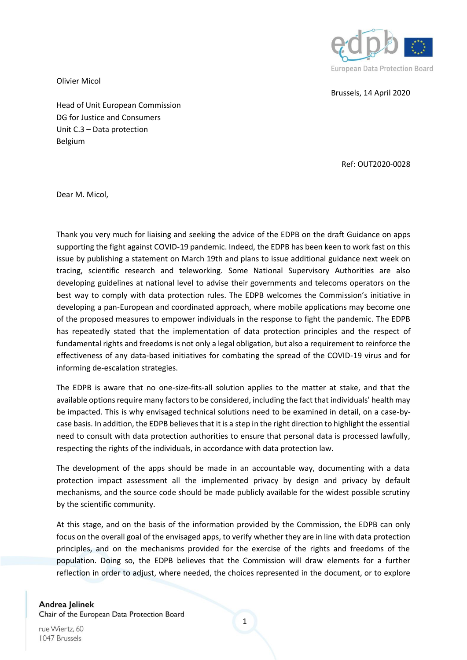

Brussels, 14 April 2020

Olivier Micol

Head of Unit European Commission DG for Justice and Consumers Unit C.3 – Data protection Belgium

Ref: OUT2020-0028

Dear M. Micol,

Thank you very much for liaising and seeking the advice of the EDPB on the draft Guidance on apps supporting the fight against COVID-19 pandemic. Indeed, the EDPB has been keen to work fast on this issue by publishing a statement on March 19th and plans to issue additional guidance next week on tracing, scientific research and teleworking. Some National Supervisory Authorities are also developing guidelines at national level to advise their governments and telecoms operators on the best way to comply with data protection rules. The EDPB welcomes the Commission's initiative in developing a pan-European and coordinated approach, where mobile applications may become one of the proposed measures to empower individuals in the response to fight the pandemic. The EDPB has repeatedly stated that the implementation of data protection principles and the respect of fundamental rights and freedoms is not only a legal obligation, but also a requirement to reinforce the effectiveness of any data-based initiatives for combating the spread of the COVID-19 virus and for informing de-escalation strategies.

The EDPB is aware that no one-size-fits-all solution applies to the matter at stake, and that the available options require many factors to be considered, including the fact that individuals' health may be impacted. This is why envisaged technical solutions need to be examined in detail, on a case-bycase basis. In addition, the EDPB believes that it is a step in the right direction to highlight the essential need to consult with data protection authorities to ensure that personal data is processed lawfully, respecting the rights of the individuals, in accordance with data protection law.

The development of the apps should be made in an accountable way, documenting with a data protection impact assessment all the implemented privacy by design and privacy by default mechanisms, and the source code should be made publicly available for the widest possible scrutiny by the scientific community.

At this stage, and on the basis of the information provided by the Commission, the EDPB can only focus on the overall goal of the envisaged apps, to verify whether they are in line with data protection principles, and on the mechanisms provided for the exercise of the rights and freedoms of the population. Doing so, the EDPB believes that the Commission will draw elements for a further reflection in order to adjust, where needed, the choices represented in the document, or to explore

Andrea Jelinek Chair of the European Data Protection Board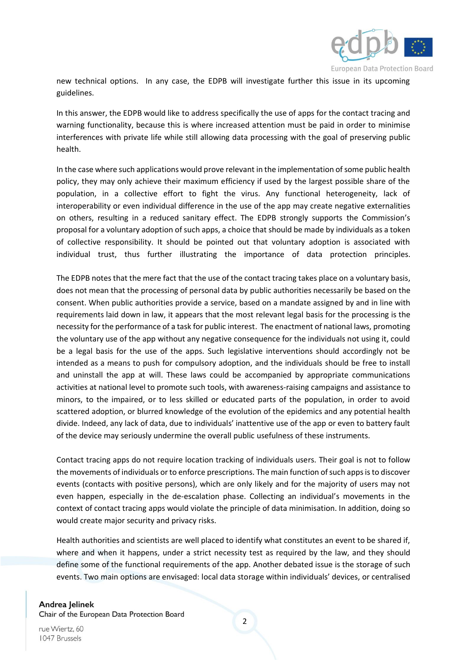

new technical options. In any case, the EDPB will investigate further this issue in its upcoming guidelines.

In this answer, the EDPB would like to address specifically the use of apps for the contact tracing and warning functionality, because this is where increased attention must be paid in order to minimise interferences with private life while still allowing data processing with the goal of preserving public health.

In the case where such applications would prove relevant in the implementation of some public health policy, they may only achieve their maximum efficiency if used by the largest possible share of the population, in a collective effort to fight the virus. Any functional heterogeneity, lack of interoperability or even individual difference in the use of the app may create negative externalities on others, resulting in a reduced sanitary effect. The EDPB strongly supports the Commission's proposal for a voluntary adoption of such apps, a choice that should be made by individuals as a token of collective responsibility. It should be pointed out that voluntary adoption is associated with individual trust, thus further illustrating the importance of data protection principles.

The EDPB notes that the mere fact that the use of the contact tracing takes place on a voluntary basis, does not mean that the processing of personal data by public authorities necessarily be based on the consent. When public authorities provide a service, based on a mandate assigned by and in line with requirements laid down in law, it appears that the most relevant legal basis for the processing is the necessity for the performance of a task for public interest. The enactment of national laws, promoting the voluntary use of the app without any negative consequence for the individuals not using it, could be a legal basis for the use of the apps. Such legislative interventions should accordingly not be intended as a means to push for compulsory adoption, and the individuals should be free to install and uninstall the app at will. These laws could be accompanied by appropriate communications activities at national level to promote such tools, with awareness-raising campaigns and assistance to minors, to the impaired, or to less skilled or educated parts of the population, in order to avoid scattered adoption, or blurred knowledge of the evolution of the epidemics and any potential health divide. Indeed, any lack of data, due to individuals' inattentive use of the app or even to battery fault of the device may seriously undermine the overall public usefulness of these instruments.

Contact tracing apps do not require location tracking of individuals users. Their goal is not to follow the movements of individuals or to enforce prescriptions. The main function of such apps is to discover events (contacts with positive persons), which are only likely and for the majority of users may not even happen, especially in the de-escalation phase. Collecting an individual's movements in the context of contact tracing apps would violate the principle of data minimisation. In addition, doing so would create major security and privacy risks.

Health authorities and scientists are well placed to identify what constitutes an event to be shared if, where and when it happens, under a strict necessity test as required by the law, and they should define some of the functional requirements of the app. Another debated issue is the storage of such events. Two main options are envisaged: local data storage within individuals' devices, or centralised

## Andrea Jelinek

Chair of the European Data Protection Board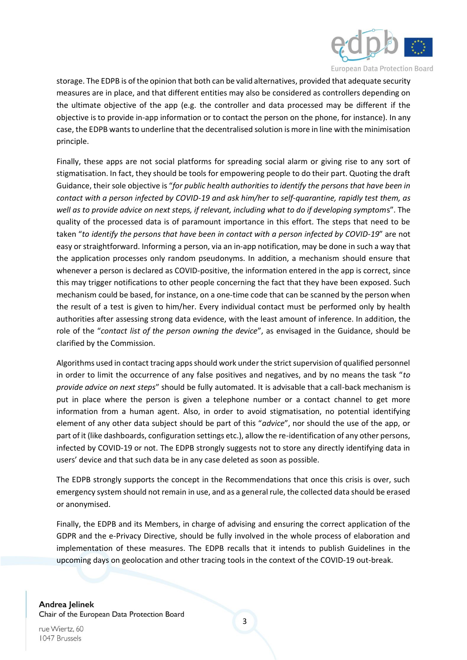

storage. The EDPB is of the opinion that both can be valid alternatives, provided that adequate security measures are in place, and that different entities may also be considered as controllers depending on the ultimate objective of the app (e.g. the controller and data processed may be different if the objective is to provide in-app information or to contact the person on the phone, for instance). In any case, the EDPB wants to underline that the decentralised solution is more in line with the minimisation principle.

Finally, these apps are not social platforms for spreading social alarm or giving rise to any sort of stigmatisation. In fact, they should be tools for empowering people to do their part. Quoting the draft Guidance, their sole objective is "*for public health authorities to identify the persons that have been in contact with a person infected by COVID-19 and ask him/her to self-quarantine, rapidly test them, as well as to provide advice on next steps, if relevant, including what to do if developing symptom*s". The quality of the processed data is of paramount importance in this effort. The steps that need to be taken "*to identify the persons that have been in contact with a person infected by COVID-19*" are not easy or straightforward. Informing a person, via an in-app notification, may be done in such a way that the application processes only random pseudonyms. In addition, a mechanism should ensure that whenever a person is declared as COVID-positive, the information entered in the app is correct, since this may trigger notifications to other people concerning the fact that they have been exposed. Such mechanism could be based, for instance, on a one-time code that can be scanned by the person when the result of a test is given to him/her. Every individual contact must be performed only by health authorities after assessing strong data evidence, with the least amount of inference. In addition, the role of the "*contact list of the person owning the device*", as envisaged in the Guidance, should be clarified by the Commission.

Algorithms used in contact tracing apps should work under the strict supervision of qualified personnel in order to limit the occurrence of any false positives and negatives, and by no means the task "*to provide advice on next steps*" should be fully automated. It is advisable that a call-back mechanism is put in place where the person is given a telephone number or a contact channel to get more information from a human agent. Also, in order to avoid stigmatisation, no potential identifying element of any other data subject should be part of this "*advice*", nor should the use of the app, or part of it (like dashboards, configuration settings etc.), allow the re-identification of any other persons, infected by COVID-19 or not. The EDPB strongly suggests not to store any directly identifying data in users' device and that such data be in any case deleted as soon as possible.

The EDPB strongly supports the concept in the Recommendations that once this crisis is over, such emergency system should not remain in use, and as a general rule, the collected data should be erased or anonymised.

Finally, the EDPB and its Members, in charge of advising and ensuring the correct application of the GDPR and the e-Privacy Directive, should be fully involved in the whole process of elaboration and implementation of these measures. The EDPB recalls that it intends to publish Guidelines in the upcoming days on geolocation and other tracing tools in the context of the COVID-19 out-break.